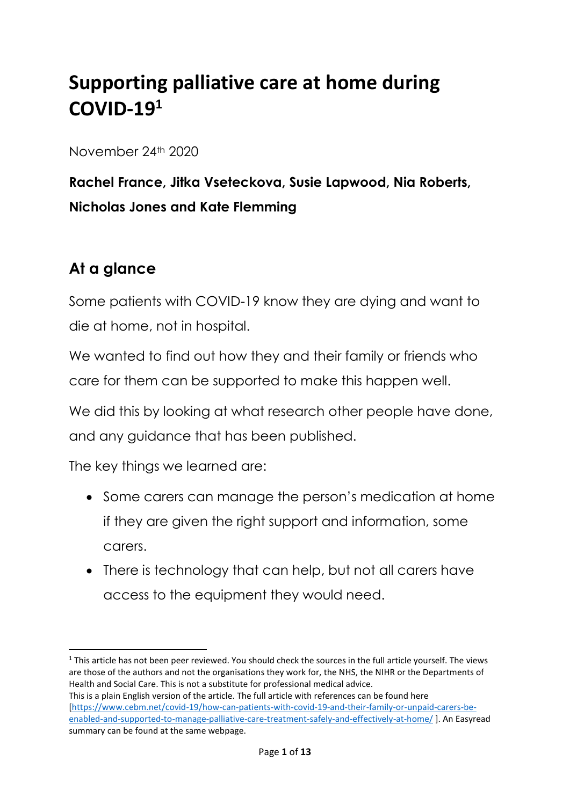# **Supporting palliative care at home during COVID-19<sup>1</sup>**

November 24th 2020

**Rachel France, Jitka Vseteckova, Susie Lapwood, Nia Roberts, Nicholas Jones and Kate Flemming**

## **At a glance**

**.** 

Some patients with COVID-19 know they are dying and want to die at home, not in hospital.

We wanted to find out how they and their family or friends who care for them can be supported to make this happen well.

We did this by looking at what research other people have done, and any guidance that has been published.

The key things we learned are:

- Some carers can manage the person's medication at home if they are given the right support and information, some carers.
- There is technology that can help, but not all carers have access to the equipment they would need.

 $1$  This article has not been peer reviewed. You should check the sources in the full article yourself. The views are those of the authors and not the organisations they work for, the NHS, the NIHR or the Departments of Health and Social Care. This is not a substitute for professional medical advice.

This is a plain English version of the article. The full article with references can be found here [\[https://www.cebm.net/covid-19/how-can-patients-with-covid-19-and-their-family-or-unpaid-carers-be](https://www.cebm.net/covid-19/how-can-patients-with-covid-19-and-their-family-or-unpaid-carers-be-enabled-and-supported-to-manage-palliative-care-treatment-safely-and-effectively-at-home/)[enabled-and-supported-to-manage-palliative-care-treatment-safely-and-effectively-at-home/](https://www.cebm.net/covid-19/how-can-patients-with-covid-19-and-their-family-or-unpaid-carers-be-enabled-and-supported-to-manage-palliative-care-treatment-safely-and-effectively-at-home/) ]. An Easyread summary can be found at the same webpage.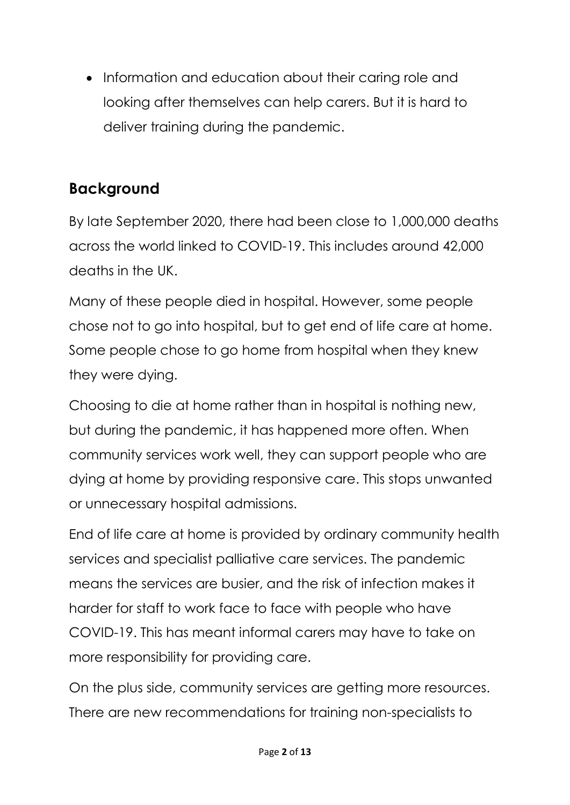• Information and education about their caring role and looking after themselves can help carers. But it is hard to deliver training during the pandemic.

## **Background**

By late September 2020, there had been close to 1,000,000 deaths across the world linked to COVID-19. This includes around 42,000 deaths in the UK.

Many of these people died in hospital. However, some people chose not to go into hospital, but to get end of life care at home. Some people chose to go home from hospital when they knew they were dying.

Choosing to die at home rather than in hospital is nothing new, but during the pandemic, it has happened more often. When community services work well, they can support people who are dying at home by providing responsive care. This stops unwanted or unnecessary hospital admissions.

End of life care at home is provided by ordinary community health services and specialist palliative care services. The pandemic means the services are busier, and the risk of infection makes it harder for staff to work face to face with people who have COVID-19. This has meant informal carers may have to take on more responsibility for providing care.

On the plus side, community services are getting more resources. There are new recommendations for training non-specialists to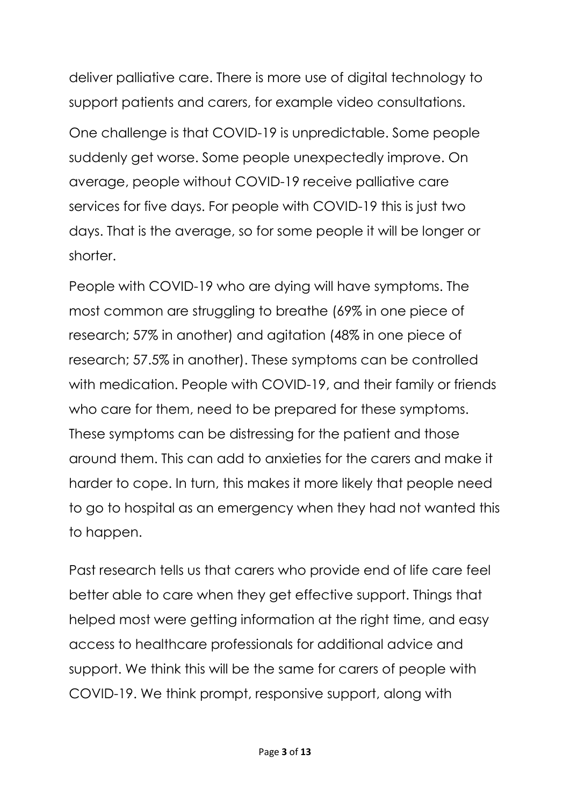deliver palliative care. There is more use of digital technology to support patients and carers, for example video consultations. One challenge is that COVID-19 is unpredictable. Some people suddenly get worse. Some people unexpectedly improve. On average, people without COVID-19 receive palliative care services for five days. For people with COVID-19 this is just two days. That is the average, so for some people it will be longer or shorter.

People with COVID-19 who are dying will have symptoms. The most common are struggling to breathe (69% in one piece of research; 57% in another) and agitation (48% in one piece of research; 57.5% in another). These symptoms can be controlled with medication. People with COVID-19, and their family or friends who care for them, need to be prepared for these symptoms. These symptoms can be distressing for the patient and those around them. This can add to anxieties for the carers and make it harder to cope. In turn, this makes it more likely that people need to go to hospital as an emergency when they had not wanted this to happen.

Past research tells us that carers who provide end of life care feel better able to care when they get effective support. Things that helped most were getting information at the right time, and easy access to healthcare professionals for additional advice and support. We think this will be the same for carers of people with COVID-19. We think prompt, responsive support, along with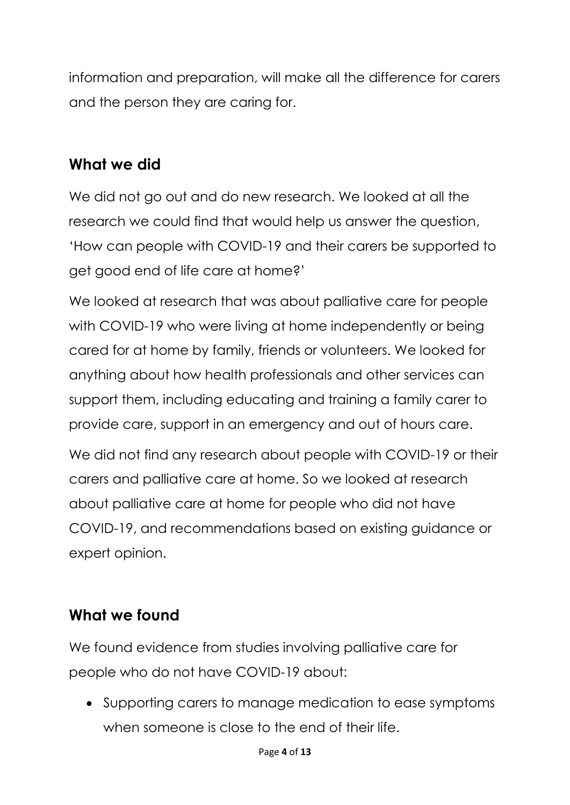information and preparation, will make all the difference for carers and the person they are caring for.

## **What we did**

We did not go out and do new research. We looked at all the research we could find that would help us answer the question, 'How can people with COVID-19 and their carers be supported to get good end of life care at home?'

We looked at research that was about palliative care for people with COVID-19 who were living at home independently or being cared for at home by family, friends or volunteers. We looked for anything about how health professionals and other services can support them, including educating and training a family carer to provide care, support in an emergency and out of hours care.

We did not find any research about people with COVID-19 or their carers and palliative care at home. So we looked at research about palliative care at home for people who did not have COVID-19, and recommendations based on existing guidance or expert opinion.

## **What we found**

We found evidence from studies involving palliative care for people who do not have COVID-19 about:

 Supporting carers to manage medication to ease symptoms when someone is close to the end of their life.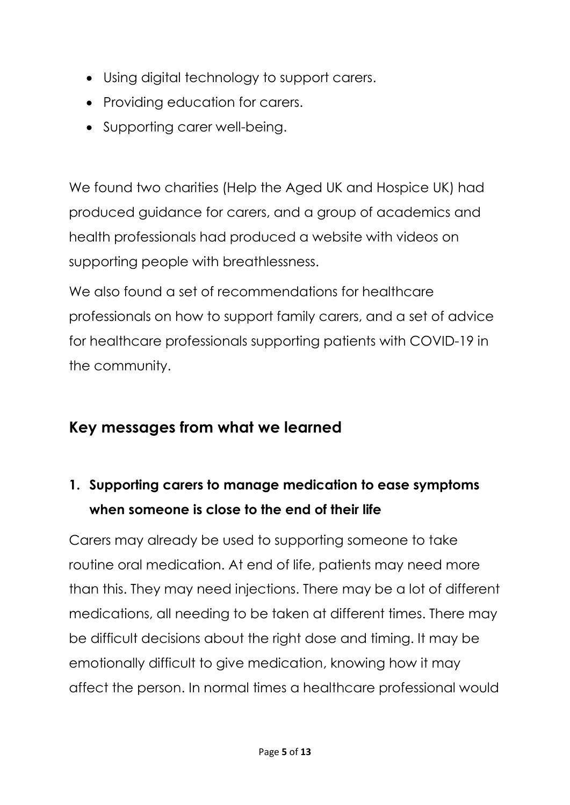- Using digital technology to support carers.
- Providing education for carers.
- Supporting carer well-being.

We found two charities (Help the Aged UK and Hospice UK) had produced guidance for carers, and a group of academics and health professionals had produced a website with videos on supporting people with breathlessness.

We also found a set of recommendations for healthcare professionals on how to support family carers, and a set of advice for healthcare professionals supporting patients with COVID-19 in the community.

#### **Key messages from what we learned**

## **1. Supporting carers to manage medication to ease symptoms when someone is close to the end of their life**

Carers may already be used to supporting someone to take routine oral medication. At end of life, patients may need more than this. They may need injections. There may be a lot of different medications, all needing to be taken at different times. There may be difficult decisions about the right dose and timing. It may be emotionally difficult to give medication, knowing how it may affect the person. In normal times a healthcare professional would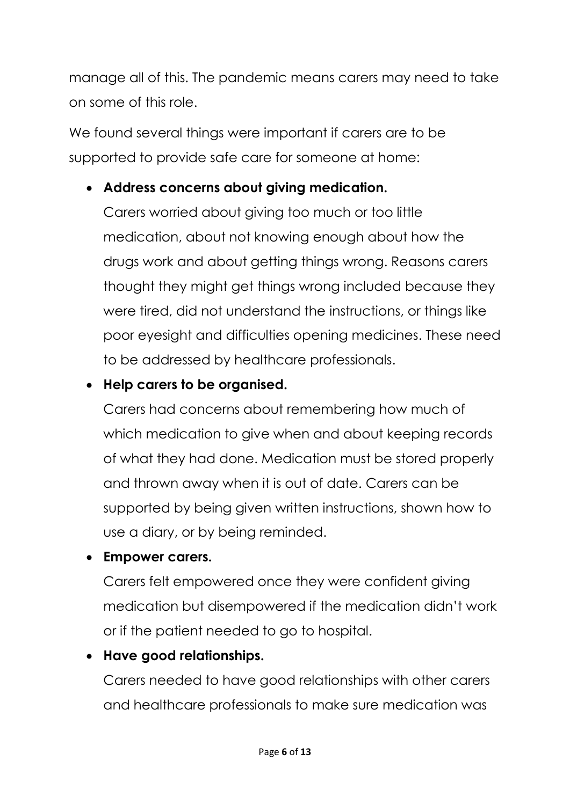manage all of this. The pandemic means carers may need to take on some of this role.

We found several things were important if carers are to be supported to provide safe care for someone at home:

#### **Address concerns about giving medication.**

Carers worried about giving too much or too little medication, about not knowing enough about how the drugs work and about getting things wrong. Reasons carers thought they might get things wrong included because they were tired, did not understand the instructions, or things like poor eyesight and difficulties opening medicines. These need to be addressed by healthcare professionals.

#### **Help carers to be organised.**

Carers had concerns about remembering how much of which medication to give when and about keeping records of what they had done. Medication must be stored properly and thrown away when it is out of date. Carers can be supported by being given written instructions, shown how to use a diary, or by being reminded.

#### **Empower carers.**

Carers felt empowered once they were confident giving medication but disempowered if the medication didn't work or if the patient needed to go to hospital.

#### **Have good relationships.**

Carers needed to have good relationships with other carers and healthcare professionals to make sure medication was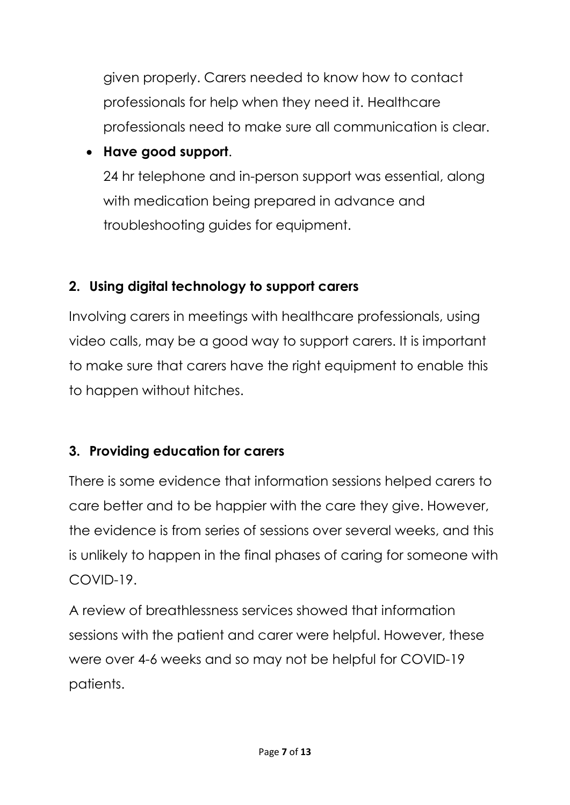given properly. Carers needed to know how to contact professionals for help when they need it. Healthcare professionals need to make sure all communication is clear.

#### **Have good support**.

24 hr telephone and in-person support was essential, along with medication being prepared in advance and troubleshooting guides for equipment.

#### **2. Using digital technology to support carers**

Involving carers in meetings with healthcare professionals, using video calls, may be a good way to support carers. It is important to make sure that carers have the right equipment to enable this to happen without hitches.

#### **3. Providing education for carers**

There is some evidence that information sessions helped carers to care better and to be happier with the care they give. However, the evidence is from series of sessions over several weeks, and this is unlikely to happen in the final phases of caring for someone with COVID-19.

A review of breathlessness services showed that information sessions with the patient and carer were helpful. However, these were over 4-6 weeks and so may not be helpful for COVID-19 patients.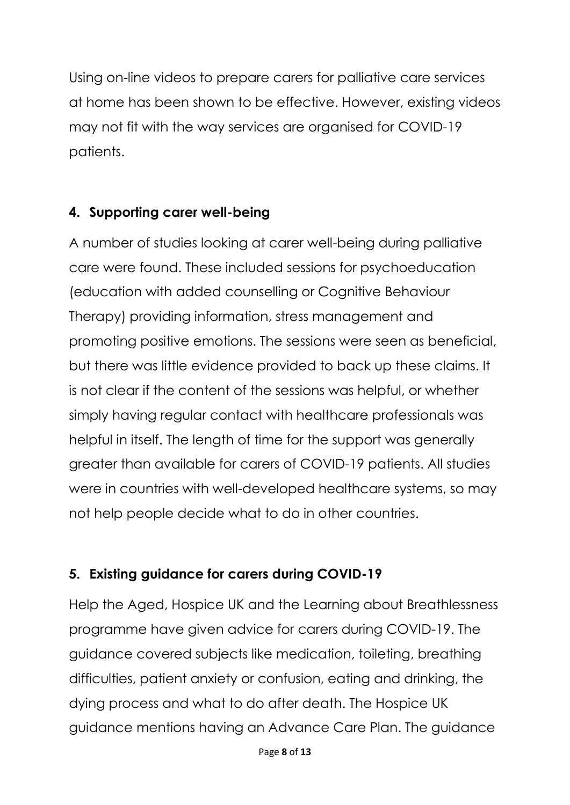Using on-line videos to prepare carers for palliative care services at home has been shown to be effective. However, existing videos may not fit with the way services are organised for COVID-19 patients.

#### **4. Supporting carer well-being**

A number of studies looking at carer well-being during palliative care were found. These included sessions for psychoeducation (education with added counselling or Cognitive Behaviour Therapy) providing information, stress management and promoting positive emotions. The sessions were seen as beneficial, but there was little evidence provided to back up these claims. It is not clear if the content of the sessions was helpful, or whether simply having regular contact with healthcare professionals was helpful in itself. The length of time for the support was generally greater than available for carers of COVID-19 patients. All studies were in countries with well-developed healthcare systems, so may not help people decide what to do in other countries.

#### **5. Existing guidance for carers during COVID-19**

Help the Aged, Hospice UK and the Learning about Breathlessness programme have given advice for carers during COVID-19. The guidance covered subjects like medication, toileting, breathing difficulties, patient anxiety or confusion, eating and drinking, the dying process and what to do after death. The Hospice UK guidance mentions having an Advance Care Plan. The guidance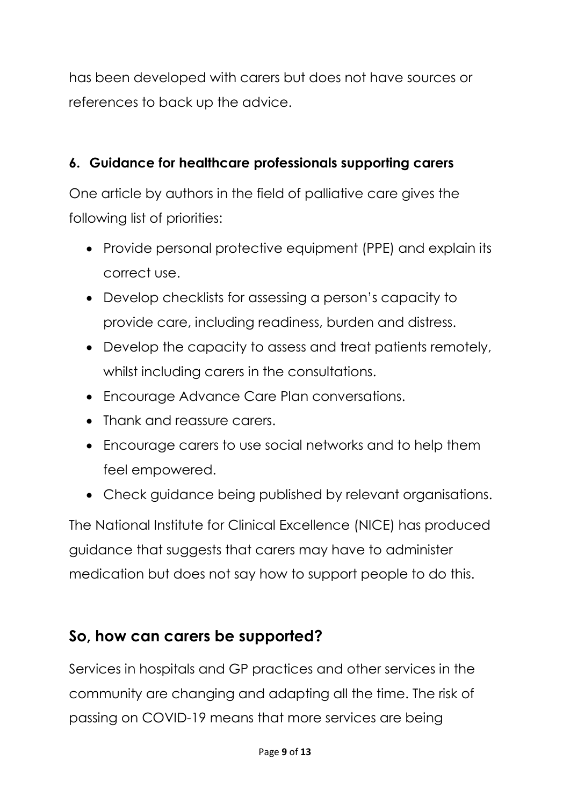has been developed with carers but does not have sources or references to back up the advice.

#### **6. Guidance for healthcare professionals supporting carers**

One article by authors in the field of palliative care gives the following list of priorities:

- Provide personal protective equipment (PPE) and explain its correct use.
- Develop checklists for assessing a person's capacity to provide care, including readiness, burden and distress.
- Develop the capacity to assess and treat patients remotely, whilst including carers in the consultations.
- Encourage Advance Care Plan conversations.
- Thank and reassure carers.
- Encourage carers to use social networks and to help them feel empowered.
- Check guidance being published by relevant organisations.

The National Institute for Clinical Excellence (NICE) has produced guidance that suggests that carers may have to administer medication but does not say how to support people to do this.

## **So, how can carers be supported?**

Services in hospitals and GP practices and other services in the community are changing and adapting all the time. The risk of passing on COVID-19 means that more services are being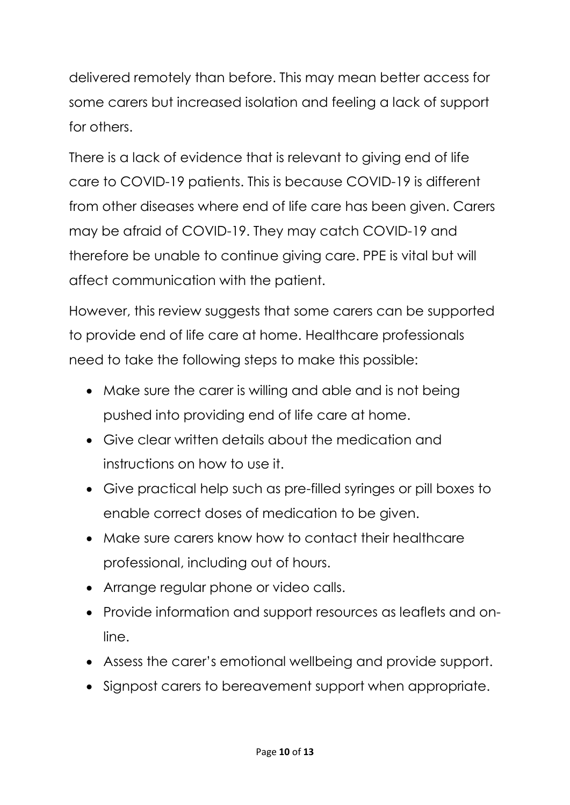delivered remotely than before. This may mean better access for some carers but increased isolation and feeling a lack of support for others.

There is a lack of evidence that is relevant to giving end of life care to COVID-19 patients. This is because COVID-19 is different from other diseases where end of life care has been given. Carers may be afraid of COVID-19. They may catch COVID-19 and therefore be unable to continue giving care. PPE is vital but will affect communication with the patient.

However, this review suggests that some carers can be supported to provide end of life care at home. Healthcare professionals need to take the following steps to make this possible:

- Make sure the carer is willing and able and is not being pushed into providing end of life care at home.
- Give clear written details about the medication and instructions on how to use it.
- Give practical help such as pre-filled syringes or pill boxes to enable correct doses of medication to be given.
- Make sure carers know how to contact their healthcare professional, including out of hours.
- Arrange regular phone or video calls.
- Provide information and support resources as leaflets and online.
- Assess the carer's emotional wellbeing and provide support.
- Signpost carers to bereavement support when appropriate.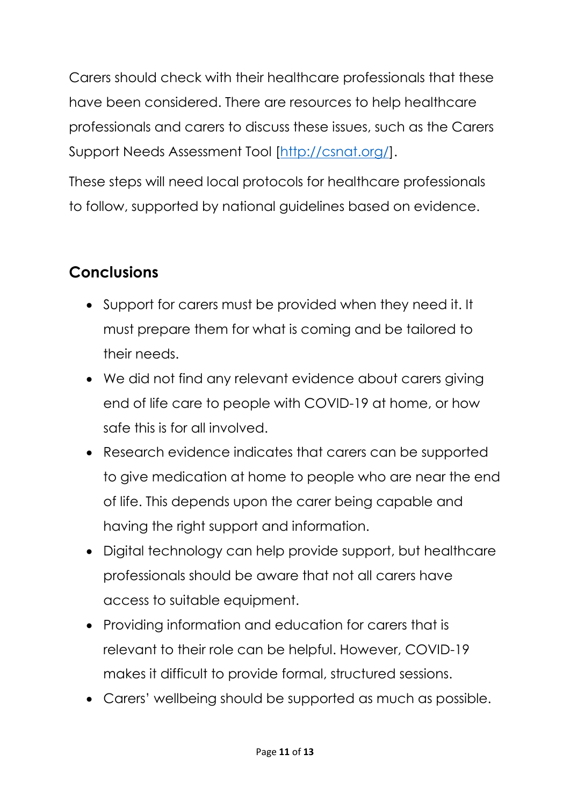Carers should check with their healthcare professionals that these have been considered. There are resources to help healthcare professionals and carers to discuss these issues, such as the Carers Support Needs Assessment Tool [\[http://csnat.org/\]](http://csnat.org/).

These steps will need local protocols for healthcare professionals to follow, supported by national guidelines based on evidence.

## **Conclusions**

- Support for carers must be provided when they need it. It must prepare them for what is coming and be tailored to their needs.
- We did not find any relevant evidence about carers giving end of life care to people with COVID-19 at home, or how safe this is for all involved.
- Research evidence indicates that carers can be supported to give medication at home to people who are near the end of life. This depends upon the carer being capable and having the right support and information.
- Digital technology can help provide support, but healthcare professionals should be aware that not all carers have access to suitable equipment.
- Providing information and education for carers that is relevant to their role can be helpful. However, COVID-19 makes it difficult to provide formal, structured sessions.
- Carers' wellbeing should be supported as much as possible.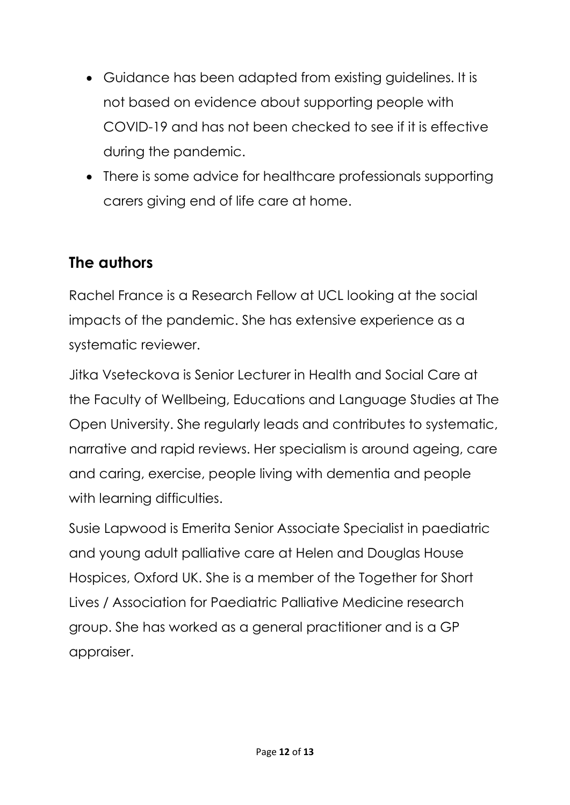- Guidance has been adapted from existing guidelines. It is not based on evidence about supporting people with COVID-19 and has not been checked to see if it is effective during the pandemic.
- There is some advice for healthcare professionals supporting carers giving end of life care at home.

## **The authors**

Rachel France is a Research Fellow at UCL looking at the social impacts of the pandemic. She has extensive experience as a systematic reviewer.

Jitka Vseteckova is Senior Lecturer in Health and Social Care at the Faculty of Wellbeing, Educations and Language Studies at The Open University. She regularly leads and contributes to systematic, narrative and rapid reviews. Her specialism is around ageing, care and caring, exercise, people living with dementia and people with learning difficulties.

Susie Lapwood is Emerita Senior Associate Specialist in paediatric and young adult palliative care at Helen and Douglas House Hospices, Oxford UK. She is a member of the Together for Short Lives / Association for Paediatric Palliative Medicine research group. She has worked as a general practitioner and is a GP appraiser.